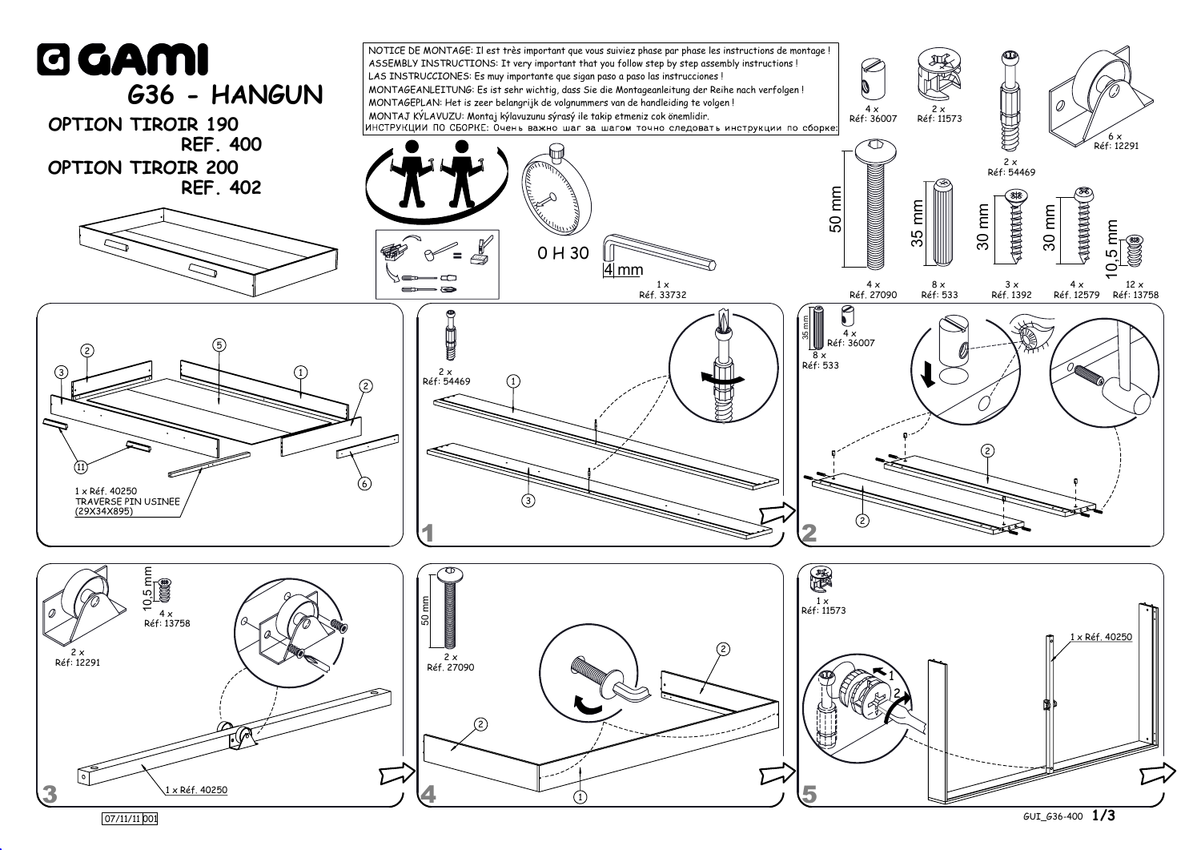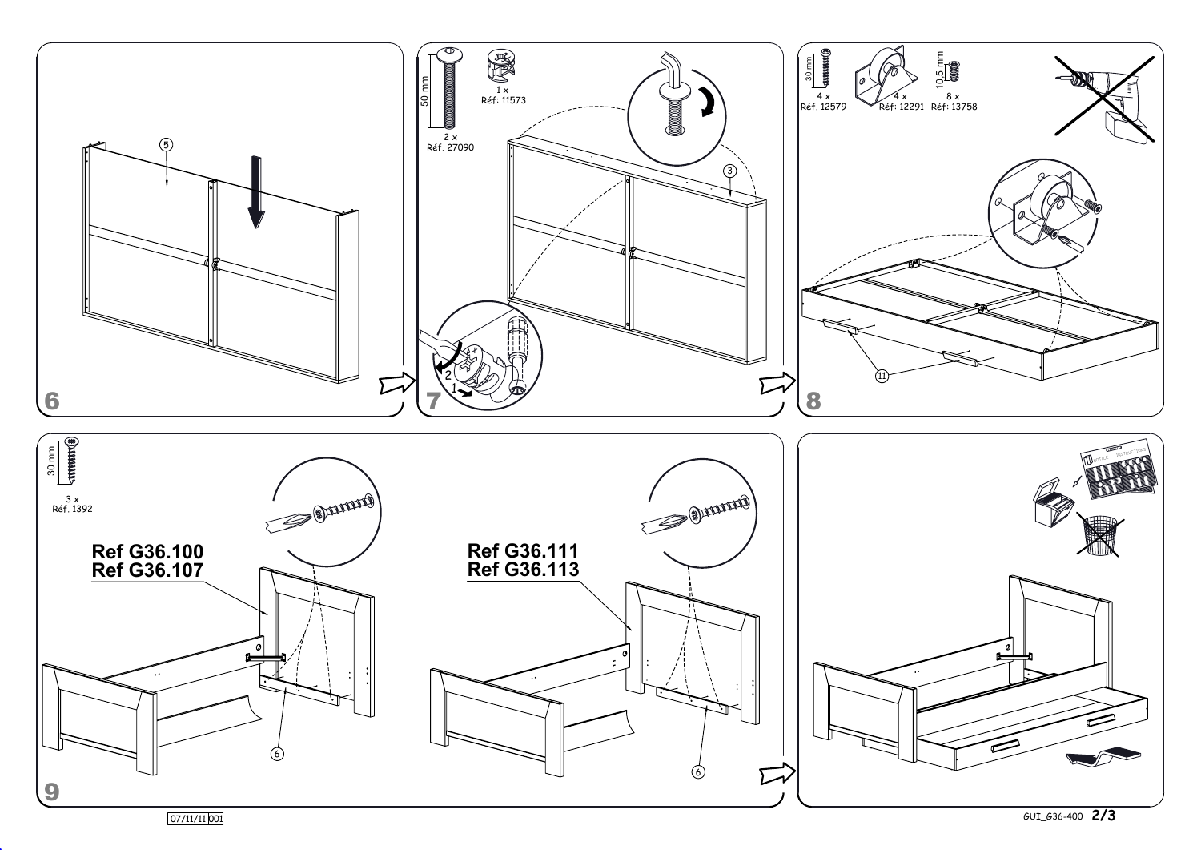